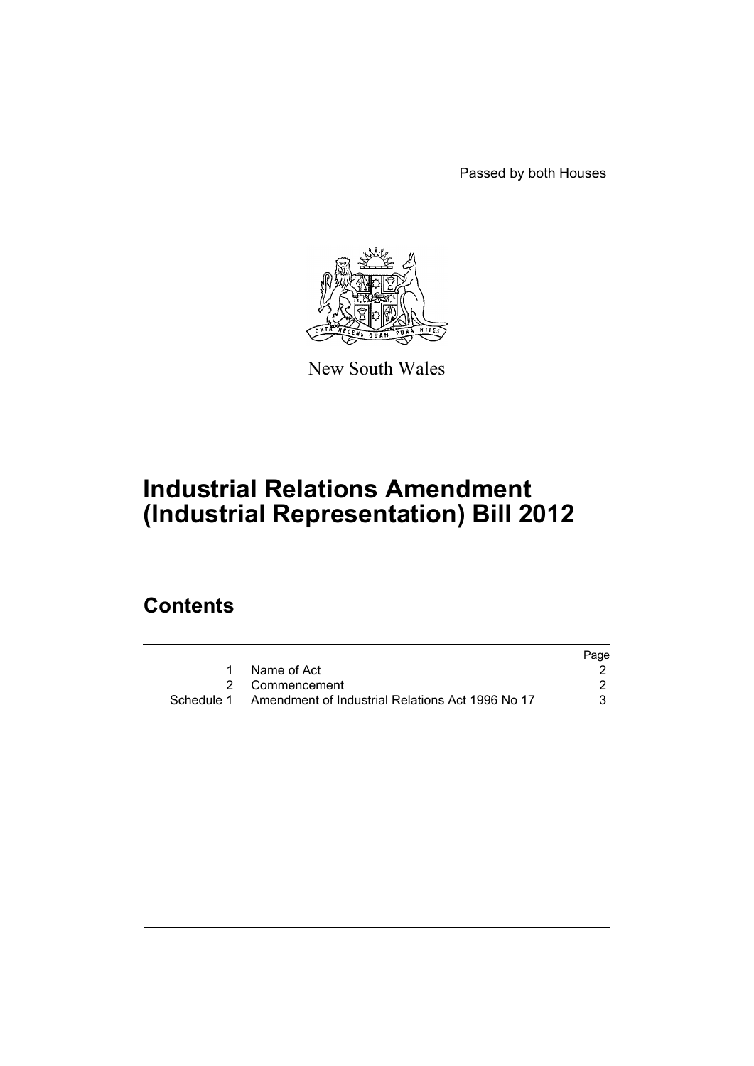Passed by both Houses



New South Wales

# **Industrial Relations Amendment (Industrial Representation) Bill 2012**

# **Contents**

|            |                                                  | Page |
|------------|--------------------------------------------------|------|
|            | Name of Act                                      |      |
|            | 2 Commencement                                   |      |
| Schedule 1 | Amendment of Industrial Relations Act 1996 No 17 |      |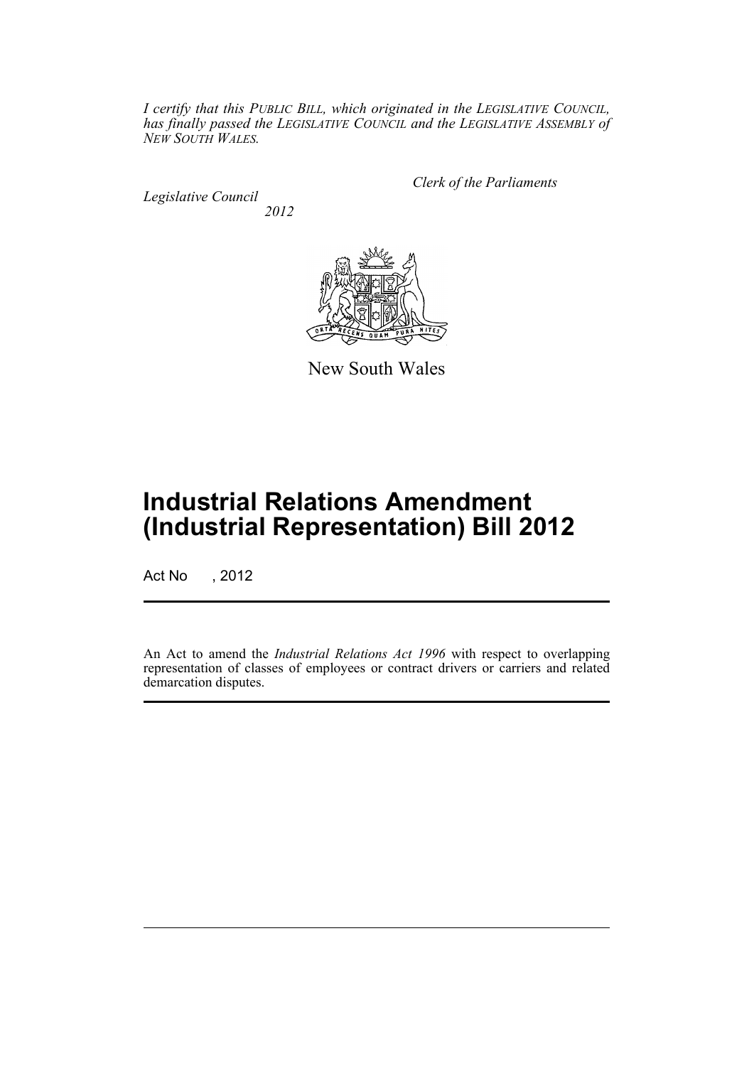*I certify that this PUBLIC BILL, which originated in the LEGISLATIVE COUNCIL, has finally passed the LEGISLATIVE COUNCIL and the LEGISLATIVE ASSEMBLY of NEW SOUTH WALES.*

*Legislative Council 2012* *Clerk of the Parliaments*



New South Wales

# **Industrial Relations Amendment (Industrial Representation) Bill 2012**

Act No , 2012

An Act to amend the *Industrial Relations Act 1996* with respect to overlapping representation of classes of employees or contract drivers or carriers and related demarcation disputes.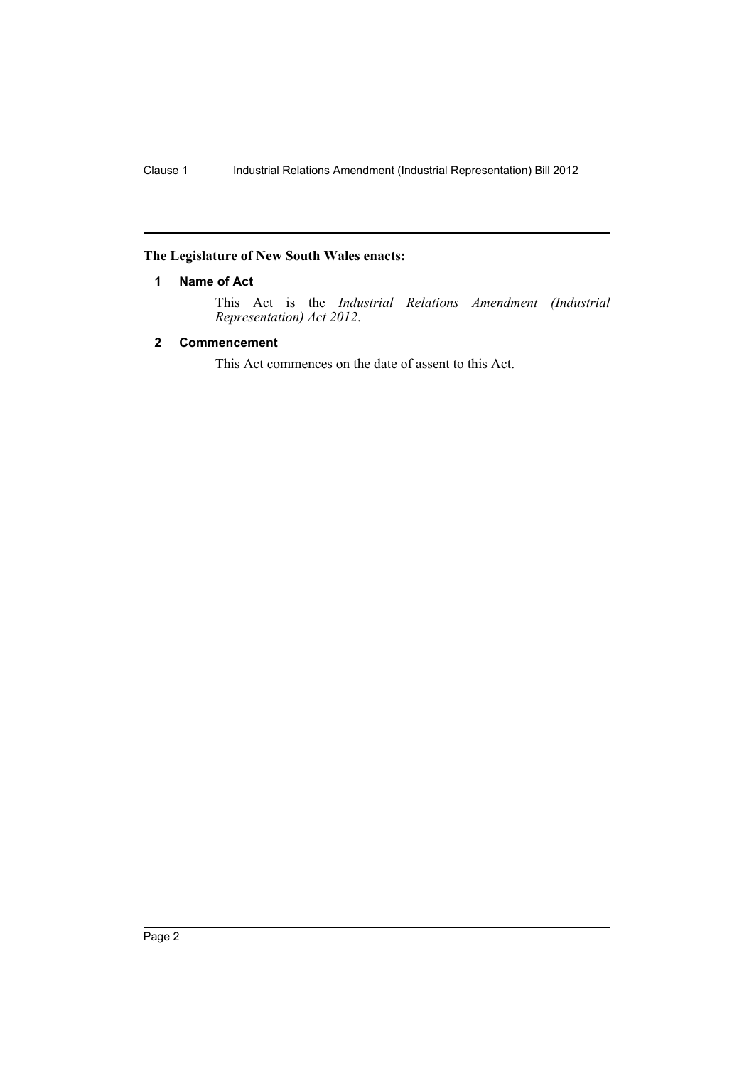### <span id="page-3-0"></span>**The Legislature of New South Wales enacts:**

### **1 Name of Act**

This Act is the *Industrial Relations Amendment (Industrial Representation) Act 2012*.

## <span id="page-3-1"></span>**2 Commencement**

This Act commences on the date of assent to this Act.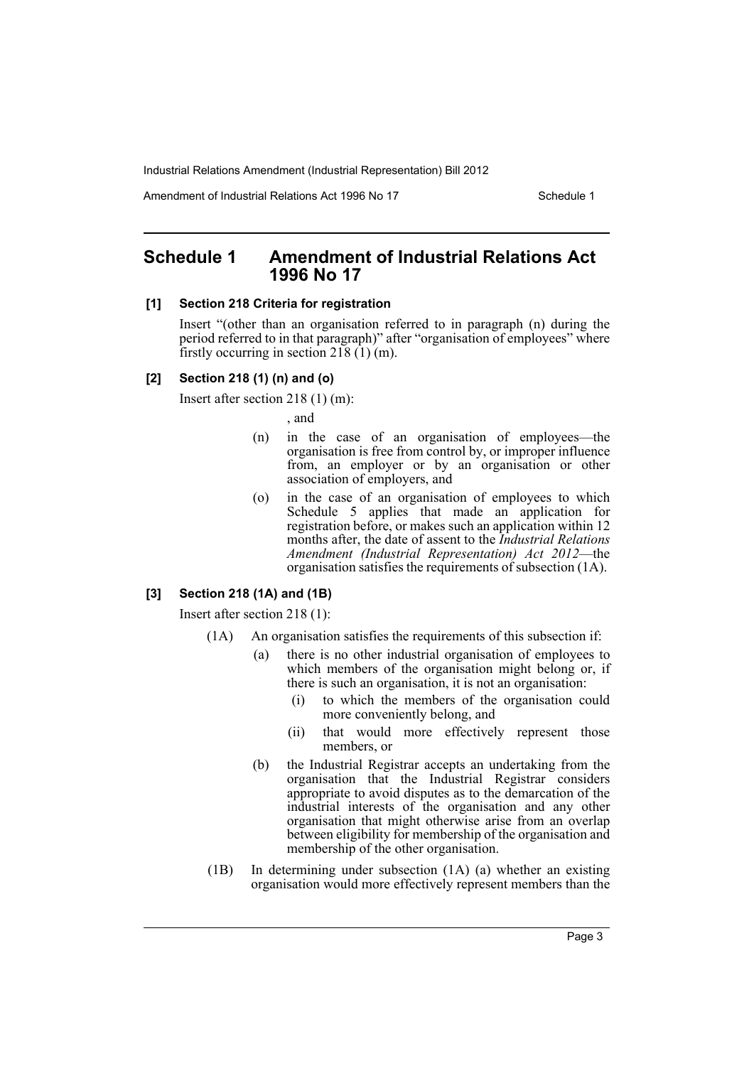Amendment of Industrial Relations Act 1996 No 17 Schedule 1

# <span id="page-4-0"></span>**Schedule 1 Amendment of Industrial Relations Act 1996 No 17**

#### **[1] Section 218 Criteria for registration**

Insert "(other than an organisation referred to in paragraph (n) during the period referred to in that paragraph)" after "organisation of employees" where firstly occurring in section 218  $(1)$  (m).

#### **[2] Section 218 (1) (n) and (o)**

Insert after section 218 (1) (m):

, and

- (n) in the case of an organisation of employees—the organisation is free from control by, or improper influence from, an employer or by an organisation or other association of employers, and
- (o) in the case of an organisation of employees to which Schedule 5 applies that made an application for registration before, or makes such an application within 12 months after, the date of assent to the *Industrial Relations Amendment (Industrial Representation) Act 2012*—the organisation satisfies the requirements of subsection (1A).

#### **[3] Section 218 (1A) and (1B)**

Insert after section 218 (1):

- (1A) An organisation satisfies the requirements of this subsection if:
	- (a) there is no other industrial organisation of employees to which members of the organisation might belong or, if there is such an organisation, it is not an organisation:
		- (i) to which the members of the organisation could more conveniently belong, and
		- (ii) that would more effectively represent those members, or
	- (b) the Industrial Registrar accepts an undertaking from the organisation that the Industrial Registrar considers appropriate to avoid disputes as to the demarcation of the industrial interests of the organisation and any other organisation that might otherwise arise from an overlap between eligibility for membership of the organisation and membership of the other organisation.
- (1B) In determining under subsection (1A) (a) whether an existing organisation would more effectively represent members than the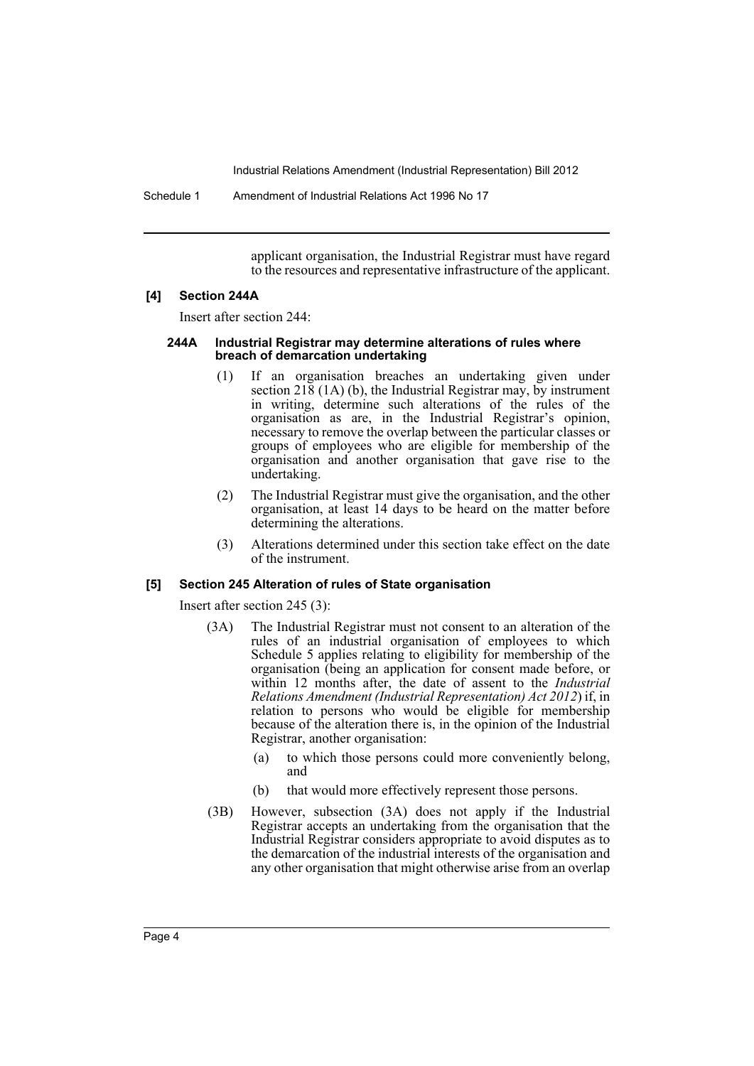Schedule 1 Amendment of Industrial Relations Act 1996 No 17

applicant organisation, the Industrial Registrar must have regard to the resources and representative infrastructure of the applicant.

#### **[4] Section 244A**

Insert after section 244:

#### **244A Industrial Registrar may determine alterations of rules where breach of demarcation undertaking**

- (1) If an organisation breaches an undertaking given under section 218 (1A) (b), the Industrial Registrar may, by instrument in writing, determine such alterations of the rules of the organisation as are, in the Industrial Registrar's opinion, necessary to remove the overlap between the particular classes or groups of employees who are eligible for membership of the organisation and another organisation that gave rise to the undertaking.
- (2) The Industrial Registrar must give the organisation, and the other organisation, at least 14 days to be heard on the matter before determining the alterations.
- (3) Alterations determined under this section take effect on the date of the instrument.

#### **[5] Section 245 Alteration of rules of State organisation**

Insert after section 245 (3):

- (3A) The Industrial Registrar must not consent to an alteration of the rules of an industrial organisation of employees to which Schedule 5 applies relating to eligibility for membership of the organisation (being an application for consent made before, or within 12 months after, the date of assent to the *Industrial Relations Amendment (Industrial Representation) Act 2012*) if, in relation to persons who would be eligible for membership because of the alteration there is, in the opinion of the Industrial Registrar, another organisation:
	- (a) to which those persons could more conveniently belong, and
	- (b) that would more effectively represent those persons.
- (3B) However, subsection (3A) does not apply if the Industrial Registrar accepts an undertaking from the organisation that the Industrial Registrar considers appropriate to avoid disputes as to the demarcation of the industrial interests of the organisation and any other organisation that might otherwise arise from an overlap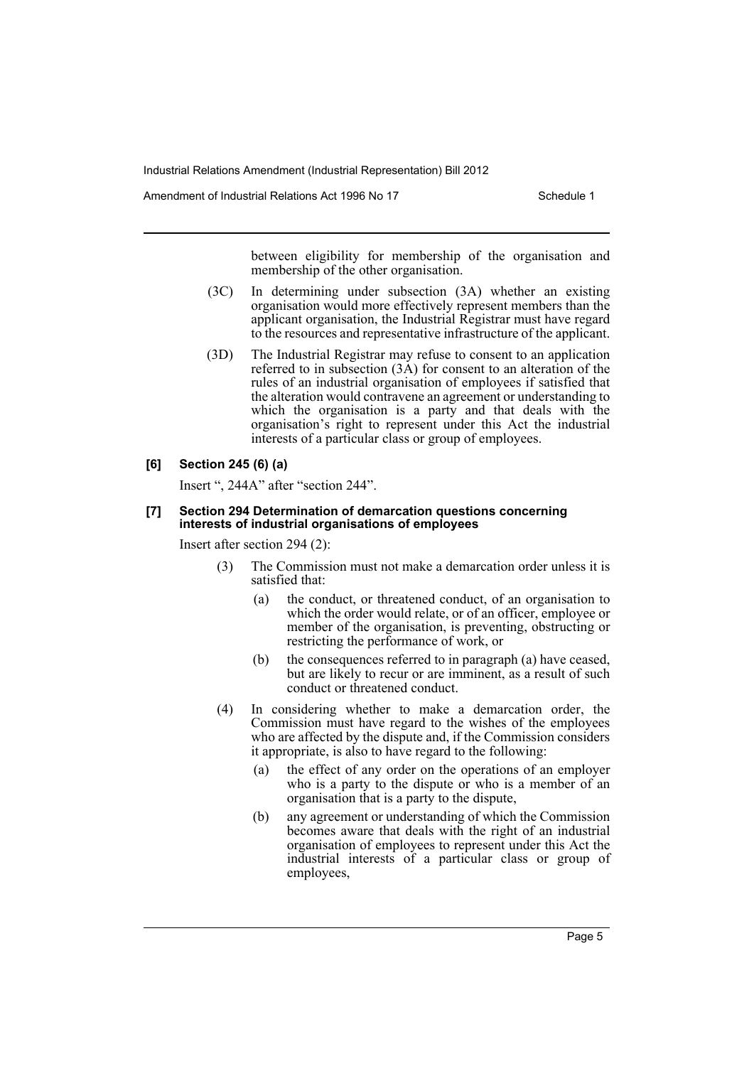Amendment of Industrial Relations Act 1996 No 17 Schedule 1

between eligibility for membership of the organisation and membership of the other organisation.

- (3C) In determining under subsection (3A) whether an existing organisation would more effectively represent members than the applicant organisation, the Industrial Registrar must have regard to the resources and representative infrastructure of the applicant.
- (3D) The Industrial Registrar may refuse to consent to an application referred to in subsection (3A) for consent to an alteration of the rules of an industrial organisation of employees if satisfied that the alteration would contravene an agreement or understanding to which the organisation is a party and that deals with the organisation's right to represent under this Act the industrial interests of a particular class or group of employees.

### **[6] Section 245 (6) (a)**

Insert ", 244A" after "section 244".

#### **[7] Section 294 Determination of demarcation questions concerning interests of industrial organisations of employees**

Insert after section 294 (2):

- (3) The Commission must not make a demarcation order unless it is satisfied that:
	- (a) the conduct, or threatened conduct, of an organisation to which the order would relate, or of an officer, employee or member of the organisation, is preventing, obstructing or restricting the performance of work, or
	- (b) the consequences referred to in paragraph (a) have ceased, but are likely to recur or are imminent, as a result of such conduct or threatened conduct.
- (4) In considering whether to make a demarcation order, the Commission must have regard to the wishes of the employees who are affected by the dispute and, if the Commission considers it appropriate, is also to have regard to the following:
	- (a) the effect of any order on the operations of an employer who is a party to the dispute or who is a member of an organisation that is a party to the dispute,
	- (b) any agreement or understanding of which the Commission becomes aware that deals with the right of an industrial organisation of employees to represent under this Act the industrial interests of a particular class or group of employees,